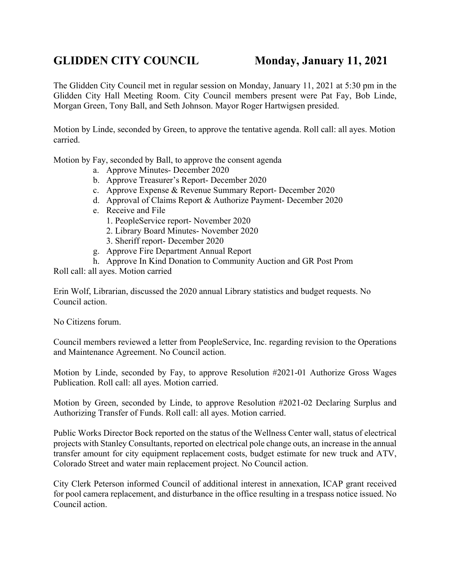## **GLIDDEN CITY COUNCIL Monday, January 11, 2021**

The Glidden City Council met in regular session on Monday, January 11, 2021 at 5:30 pm in the Glidden City Hall Meeting Room. City Council members present were Pat Fay, Bob Linde, Morgan Green, Tony Ball, and Seth Johnson. Mayor Roger Hartwigsen presided.

Motion by Linde, seconded by Green, to approve the tentative agenda. Roll call: all ayes. Motion carried.

Motion by Fay, seconded by Ball, to approve the consent agenda

- a. Approve Minutes- December 2020
- b. Approve Treasurer's Report- December 2020
- c. Approve Expense & Revenue Summary Report- December 2020
- d. Approval of Claims Report & Authorize Payment- December 2020
- e. Receive and File
	- 1. PeopleService report- November 2020
	- 2. Library Board Minutes- November 2020
	- 3. Sheriff report- December 2020
- g. Approve Fire Department Annual Report
- h. Approve In Kind Donation to Community Auction and GR Post Prom

Roll call: all ayes. Motion carried

Erin Wolf, Librarian, discussed the 2020 annual Library statistics and budget requests. No Council action.

No Citizens forum.

Council members reviewed a letter from PeopleService, Inc. regarding revision to the Operations and Maintenance Agreement. No Council action.

Motion by Linde, seconded by Fay, to approve Resolution #2021-01 Authorize Gross Wages Publication. Roll call: all ayes. Motion carried.

Motion by Green, seconded by Linde, to approve Resolution #2021-02 Declaring Surplus and Authorizing Transfer of Funds. Roll call: all ayes. Motion carried.

Public Works Director Bock reported on the status of the Wellness Center wall, status of electrical projects with Stanley Consultants, reported on electrical pole change outs, an increase in the annual transfer amount for city equipment replacement costs, budget estimate for new truck and ATV, Colorado Street and water main replacement project. No Council action.

City Clerk Peterson informed Council of additional interest in annexation, ICAP grant received for pool camera replacement, and disturbance in the office resulting in a trespass notice issued. No Council action.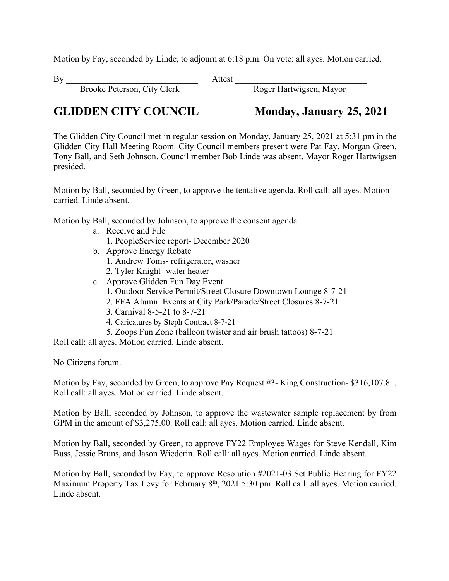Motion by Fay, seconded by Linde, to adjourn at 6:18 p.m. On vote: all ayes. Motion carried.

By Attest  $\overline{a}$ 

Brooke Peterson, City Clerk Roger Hartwigsen, Mayor

### **GLIDDEN CITY COUNCIL Monday, January 25, 2021**

The Glidden City Council met in regular session on Monday, January 25, 2021 at 5:31 pm in the Glidden City Hall Meeting Room. City Council members present were Pat Fay, Morgan Green, Tony Ball, and Seth Johnson. Council member Bob Linde was absent. Mayor Roger Hartwigsen presided.

Motion by Ball, seconded by Green, to approve the tentative agenda. Roll call: all ayes. Motion carried. Linde absent.

Motion by Ball, seconded by Johnson, to approve the consent agenda

- a. Receive and File
	- 1. PeopleService report- December 2020
- b. Approve Energy Rebate
	- 1. Andrew Toms- refrigerator, washer
	- 2. Tyler Knight- water heater
- c. Approve Glidden Fun Day Event
	- 1. Outdoor Service Permit/Street Closure Downtown Lounge 8-7-21
	- 2. FFA Alumni Events at City Park/Parade/Street Closures 8-7-21
	- 3. Carnival 8-5-21 to 8-7-21
	- 4. Caricatures by Steph Contract 8-7-21
	- 5. Zoops Fun Zone (balloon twister and air brush tattoos) 8-7-21

Roll call: all ayes. Motion carried. Linde absent.

No Citizens forum.

Motion by Fay, seconded by Green, to approve Pay Request #3- King Construction- \$316,107.81. Roll call: all ayes. Motion carried. Linde absent.

Motion by Ball, seconded by Johnson, to approve the wastewater sample replacement by from GPM in the amount of \$3,275.00. Roll call: all ayes. Motion carried. Linde absent.

Motion by Ball, seconded by Green, to approve FY22 Employee Wages for Steve Kendall, Kim Buss, Jessie Bruns, and Jason Wiederin. Roll call: all ayes. Motion carried. Linde absent.

Motion by Ball, seconded by Fay, to approve Resolution #2021-03 Set Public Hearing for FY22 Maximum Property Tax Levy for February 8<sup>th</sup>, 2021 5:30 pm. Roll call: all ayes. Motion carried. Linde absent.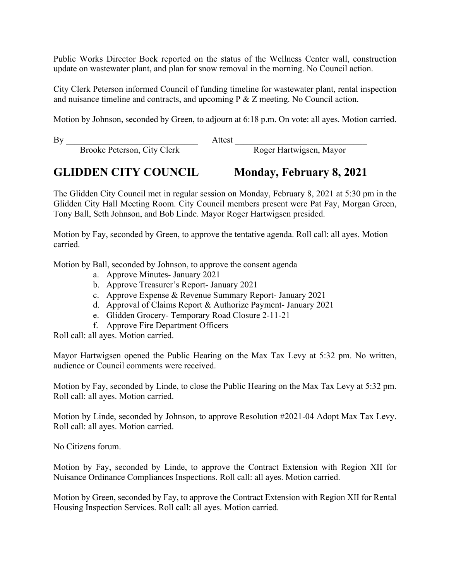Public Works Director Bock reported on the status of the Wellness Center wall, construction update on wastewater plant, and plan for snow removal in the morning. No Council action.

City Clerk Peterson informed Council of funding timeline for wastewater plant, rental inspection and nuisance timeline and contracts, and upcoming P & Z meeting. No Council action.

Motion by Johnson, seconded by Green, to adjourn at 6:18 p.m. On vote: all ayes. Motion carried.

By \_\_\_\_\_\_\_\_\_\_\_\_\_\_\_\_\_\_\_\_\_\_\_\_\_\_\_\_\_\_ Attest \_\_\_\_\_\_\_\_\_\_\_\_\_\_\_\_\_\_\_\_\_\_\_\_\_\_\_\_\_\_ Brooke Peterson, City Clerk

### **GLIDDEN CITY COUNCIL Monday, February 8, 2021**

The Glidden City Council met in regular session on Monday, February 8, 2021 at 5:30 pm in the Glidden City Hall Meeting Room. City Council members present were Pat Fay, Morgan Green, Tony Ball, Seth Johnson, and Bob Linde. Mayor Roger Hartwigsen presided.

Motion by Fay, seconded by Green, to approve the tentative agenda. Roll call: all ayes. Motion carried.

Motion by Ball, seconded by Johnson, to approve the consent agenda

- a. Approve Minutes- January 2021
- b. Approve Treasurer's Report- January 2021
- c. Approve Expense & Revenue Summary Report- January 2021
- d. Approval of Claims Report & Authorize Payment- January 2021
- e. Glidden Grocery- Temporary Road Closure 2-11-21
- f. Approve Fire Department Officers

Roll call: all ayes. Motion carried.

Mayor Hartwigsen opened the Public Hearing on the Max Tax Levy at 5:32 pm. No written, audience or Council comments were received.

Motion by Fay, seconded by Linde, to close the Public Hearing on the Max Tax Levy at 5:32 pm. Roll call: all ayes. Motion carried.

Motion by Linde, seconded by Johnson, to approve Resolution #2021-04 Adopt Max Tax Levy. Roll call: all ayes. Motion carried.

No Citizens forum.

Motion by Fay, seconded by Linde, to approve the Contract Extension with Region XII for Nuisance Ordinance Compliances Inspections. Roll call: all ayes. Motion carried.

Motion by Green, seconded by Fay, to approve the Contract Extension with Region XII for Rental Housing Inspection Services. Roll call: all ayes. Motion carried.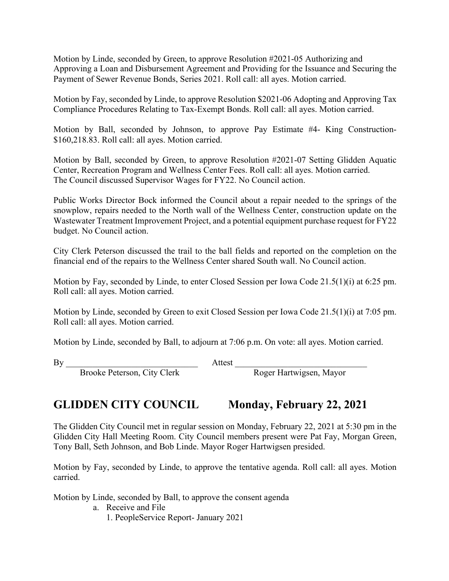Motion by Linde, seconded by Green, to approve Resolution #2021-05 Authorizing and Approving a Loan and Disbursement Agreement and Providing for the Issuance and Securing the Payment of Sewer Revenue Bonds, Series 2021. Roll call: all ayes. Motion carried.

Motion by Fay, seconded by Linde, to approve Resolution \$2021-06 Adopting and Approving Tax Compliance Procedures Relating to Tax-Exempt Bonds. Roll call: all ayes. Motion carried.

Motion by Ball, seconded by Johnson, to approve Pay Estimate #4- King Construction- \$160,218.83. Roll call: all ayes. Motion carried.

Motion by Ball, seconded by Green, to approve Resolution #2021-07 Setting Glidden Aquatic Center, Recreation Program and Wellness Center Fees. Roll call: all ayes. Motion carried. The Council discussed Supervisor Wages for FY22. No Council action.

Public Works Director Bock informed the Council about a repair needed to the springs of the snowplow, repairs needed to the North wall of the Wellness Center, construction update on the Wastewater Treatment Improvement Project, and a potential equipment purchase request for FY22 budget. No Council action.

City Clerk Peterson discussed the trail to the ball fields and reported on the completion on the financial end of the repairs to the Wellness Center shared South wall. No Council action.

Motion by Fay, seconded by Linde, to enter Closed Session per Iowa Code 21.5(1)(i) at 6:25 pm. Roll call: all ayes. Motion carried.

Motion by Linde, seconded by Green to exit Closed Session per Iowa Code 21.5(1)(i) at 7:05 pm. Roll call: all ayes. Motion carried.

Motion by Linde, seconded by Ball, to adjourn at 7:06 p.m. On vote: all ayes. Motion carried.

By \_\_\_\_\_\_\_\_\_\_\_\_\_\_\_\_\_\_\_\_\_\_\_\_\_\_\_\_\_\_ Attest \_\_\_\_\_\_\_\_\_\_\_\_\_\_\_\_\_\_\_\_\_\_\_\_\_\_\_\_\_\_ Brooke Peterson, City Clerk

### **GLIDDEN CITY COUNCIL Monday, February 22, 2021**

The Glidden City Council met in regular session on Monday, February 22, 2021 at 5:30 pm in the Glidden City Hall Meeting Room. City Council members present were Pat Fay, Morgan Green, Tony Ball, Seth Johnson, and Bob Linde. Mayor Roger Hartwigsen presided.

Motion by Fay, seconded by Linde, to approve the tentative agenda. Roll call: all ayes. Motion carried.

Motion by Linde, seconded by Ball, to approve the consent agenda

- a. Receive and File
	- 1. PeopleService Report- January 2021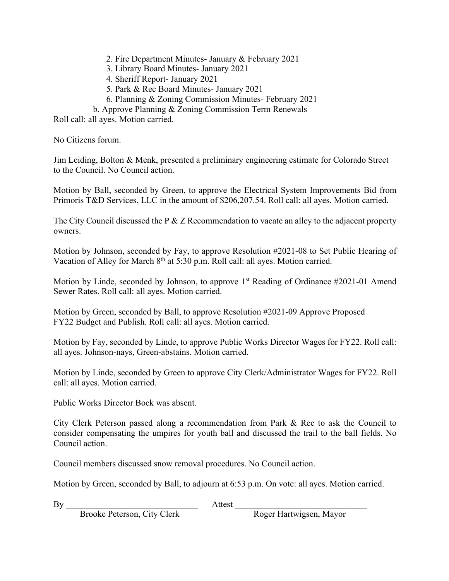2. Fire Department Minutes- January & February 2021

3. Library Board Minutes- January 2021

4. Sheriff Report- January 2021

5. Park & Rec Board Minutes- January 2021

6. Planning & Zoning Commission Minutes- February 2021

b. Approve Planning & Zoning Commission Term Renewals

Roll call: all ayes. Motion carried.

No Citizens forum.

Jim Leiding, Bolton & Menk, presented a preliminary engineering estimate for Colorado Street to the Council. No Council action.

Motion by Ball, seconded by Green, to approve the Electrical System Improvements Bid from Primoris T&D Services, LLC in the amount of \$206,207.54. Roll call: all ayes. Motion carried.

The City Council discussed the P  $\&$  Z Recommendation to vacate an alley to the adjacent property owners.

Motion by Johnson, seconded by Fay, to approve Resolution #2021-08 to Set Public Hearing of Vacation of Alley for March  $8<sup>th</sup>$  at 5:30 p.m. Roll call: all ayes. Motion carried.

Motion by Linde, seconded by Johnson, to approve  $1<sup>st</sup>$  Reading of Ordinance #2021-01 Amend Sewer Rates. Roll call: all ayes. Motion carried.

Motion by Green, seconded by Ball, to approve Resolution #2021-09 Approve Proposed FY22 Budget and Publish. Roll call: all ayes. Motion carried.

Motion by Fay, seconded by Linde, to approve Public Works Director Wages for FY22. Roll call: all ayes. Johnson-nays, Green-abstains. Motion carried.

Motion by Linde, seconded by Green to approve City Clerk/Administrator Wages for FY22. Roll call: all ayes. Motion carried.

Public Works Director Bock was absent.

City Clerk Peterson passed along a recommendation from Park & Rec to ask the Council to consider compensating the umpires for youth ball and discussed the trail to the ball fields. No Council action.

Council members discussed snow removal procedures. No Council action.

Motion by Green, seconded by Ball, to adjourn at 6:53 p.m. On vote: all ayes. Motion carried.

By Attest  $\overline{B}$ 

Brooke Peterson, City Clerk Roger Hartwigsen, Mayor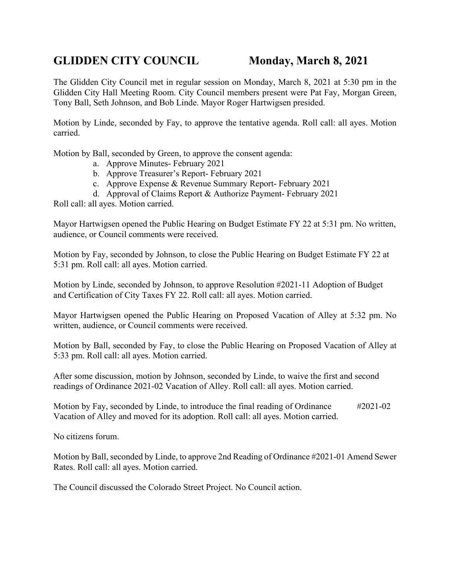### **GLIDDEN CITY COUNCIL Monday, March 8, 2021**

The Glidden City Council met in regular session on Monday, March 8, 2021 at 5:30 pm in the Glidden City Hall Meeting Room. City Council members present were Pat Fay, Morgan Green, Tony Ball, Seth Johnson, and Bob Linde. Mayor Roger Hartwigsen presided.

Motion by Linde, seconded by Fay, to approve the tentative agenda. Roll call: all ayes. Motion carried.

Motion by Ball, seconded by Green, to approve the consent agenda:

- a. Approve Minutes- February 2021
- b. Approve Treasurer's Report- February 2021
- c. Approve Expense & Revenue Summary Report- February 2021
- d. Approval of Claims Report & Authorize Payment- February 2021

Roll call: all ayes. Motion carried.

Mayor Hartwigsen opened the Public Hearing on Budget Estimate FY 22 at 5:31 pm. No written, audience, or Council comments were received.

Motion by Fay, seconded by Johnson, to close the Public Hearing on Budget Estimate FY 22 at 5:31 pm. Roll call: all ayes. Motion carried.

Motion by Linde, seconded by Johnson, to approve Resolution #2021-11 Adoption of Budget and Certification of City Taxes FY 22. Roll call: all ayes. Motion carried.

Mayor Hartwigsen opened the Public Hearing on Proposed Vacation of Alley at 5:32 pm. No written, audience, or Council comments were received.

Motion by Ball, seconded by Fay, to close the Public Hearing on Proposed Vacation of Alley at 5:33 pm. Roll call: all ayes. Motion carried.

After some discussion, motion by Johnson, seconded by Linde, to waive the first and second readings of Ordinance 2021-02 Vacation of Alley. Roll call: all ayes. Motion carried.

Motion by Fay, seconded by Linde, to introduce the final reading of Ordinance #2021-02 Vacation of Alley and moved for its adoption. Roll call: all ayes. Motion carried.

No citizens forum.

Motion by Ball, seconded by Linde, to approve 2nd Reading of Ordinance #2021-01 Amend Sewer Rates. Roll call: all ayes. Motion carried.

The Council discussed the Colorado Street Project. No Council action.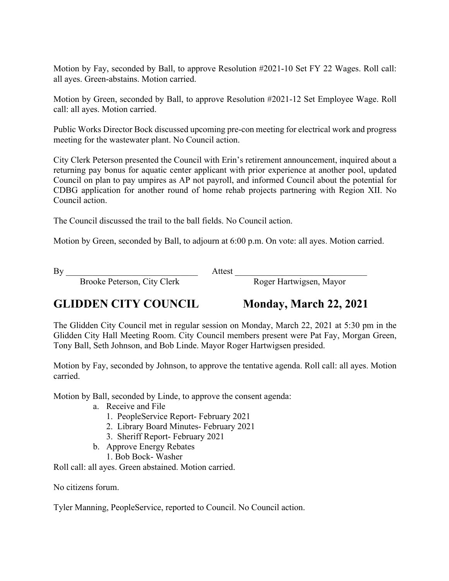Motion by Fay, seconded by Ball, to approve Resolution #2021-10 Set FY 22 Wages. Roll call: all ayes. Green-abstains. Motion carried.

Motion by Green, seconded by Ball, to approve Resolution #2021-12 Set Employee Wage. Roll call: all ayes. Motion carried.

Public Works Director Bock discussed upcoming pre-con meeting for electrical work and progress meeting for the wastewater plant. No Council action.

City Clerk Peterson presented the Council with Erin's retirement announcement, inquired about a returning pay bonus for aquatic center applicant with prior experience at another pool, updated Council on plan to pay umpires as AP not payroll, and informed Council about the potential for CDBG application for another round of home rehab projects partnering with Region XII. No Council action.

The Council discussed the trail to the ball fields. No Council action.

Motion by Green, seconded by Ball, to adjourn at 6:00 p.m. On vote: all ayes. Motion carried.

By Attest  $\overline{B}$ 

Brooke Peterson, City Clerk Roger Hartwigsen, Mayor

## **GLIDDEN CITY COUNCIL Monday, March 22, 2021**

The Glidden City Council met in regular session on Monday, March 22, 2021 at 5:30 pm in the Glidden City Hall Meeting Room. City Council members present were Pat Fay, Morgan Green, Tony Ball, Seth Johnson, and Bob Linde. Mayor Roger Hartwigsen presided.

Motion by Fay, seconded by Johnson, to approve the tentative agenda. Roll call: all ayes. Motion carried.

Motion by Ball, seconded by Linde, to approve the consent agenda:

- a. Receive and File
	- 1. PeopleService Report- February 2021
	- 2. Library Board Minutes- February 2021
	- 3. Sheriff Report- February 2021
- b. Approve Energy Rebates

1. Bob Bock- Washer

Roll call: all ayes. Green abstained. Motion carried.

No citizens forum.

Tyler Manning, PeopleService, reported to Council. No Council action.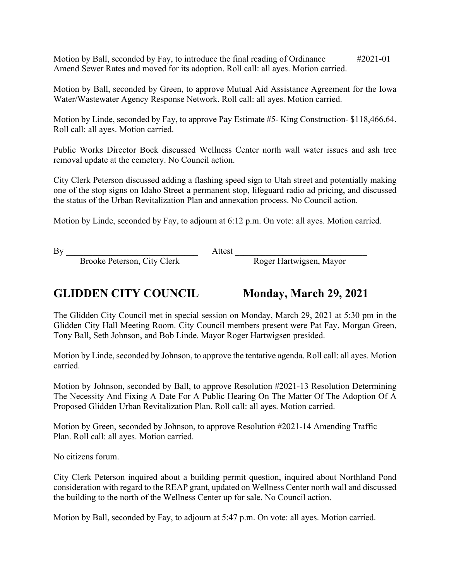Motion by Ball, seconded by Fay, to introduce the final reading of Ordinance #2021-01 Amend Sewer Rates and moved for its adoption. Roll call: all ayes. Motion carried.

Motion by Ball, seconded by Green, to approve Mutual Aid Assistance Agreement for the Iowa Water/Wastewater Agency Response Network. Roll call: all ayes. Motion carried.

Motion by Linde, seconded by Fay, to approve Pay Estimate #5- King Construction- \$118,466.64. Roll call: all ayes. Motion carried.

Public Works Director Bock discussed Wellness Center north wall water issues and ash tree removal update at the cemetery. No Council action.

City Clerk Peterson discussed adding a flashing speed sign to Utah street and potentially making one of the stop signs on Idaho Street a permanent stop, lifeguard radio ad pricing, and discussed the status of the Urban Revitalization Plan and annexation process. No Council action.

Motion by Linde, seconded by Fay, to adjourn at 6:12 p.m. On vote: all ayes. Motion carried.

By Attest  $\overline{B}$ 

Brooke Peterson, City Clerk Roger Hartwigsen, Mayor

# **GLIDDEN CITY COUNCIL Monday, March 29, 2021**

The Glidden City Council met in special session on Monday, March 29, 2021 at 5:30 pm in the Glidden City Hall Meeting Room. City Council members present were Pat Fay, Morgan Green, Tony Ball, Seth Johnson, and Bob Linde. Mayor Roger Hartwigsen presided.

Motion by Linde, seconded by Johnson, to approve the tentative agenda. Roll call: all ayes. Motion carried.

Motion by Johnson, seconded by Ball, to approve Resolution #2021-13 Resolution Determining The Necessity And Fixing A Date For A Public Hearing On The Matter Of The Adoption Of A Proposed Glidden Urban Revitalization Plan. Roll call: all ayes. Motion carried.

Motion by Green, seconded by Johnson, to approve Resolution #2021-14 Amending Traffic Plan. Roll call: all ayes. Motion carried.

No citizens forum.

City Clerk Peterson inquired about a building permit question, inquired about Northland Pond consideration with regard to the REAP grant, updated on Wellness Center north wall and discussed the building to the north of the Wellness Center up for sale. No Council action.

Motion by Ball, seconded by Fay, to adjourn at 5:47 p.m. On vote: all ayes. Motion carried.